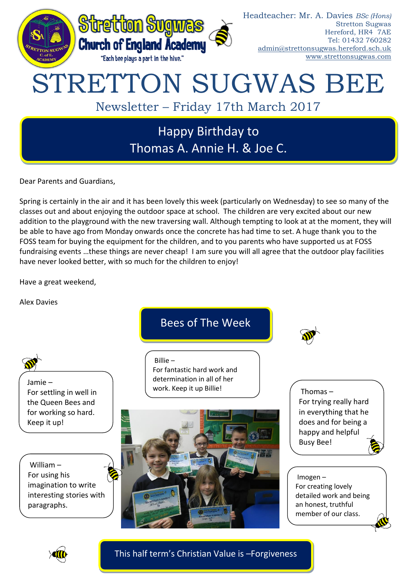

Dear Parents and Guardians,

Spring is certainly in the air and it has been lovely this week (particularly on Wednesday) to see so many of the classes out and about enjoying the outdoor space at school. The children are very excited about our new addition to the playground with the new traversing wall. Although tempting to look at at the moment, they will be able to have ago from Monday onwards once the concrete has had time to set. A huge thank you to the FOSS team for buying the equipment for the children, and to you parents who have supported us at FOSS fundraising events …these things are never cheap! I am sure you will all agree that the outdoor play facilities have never looked better, with so much for the children to enjoy!

Have a great weekend,

Alex Davies